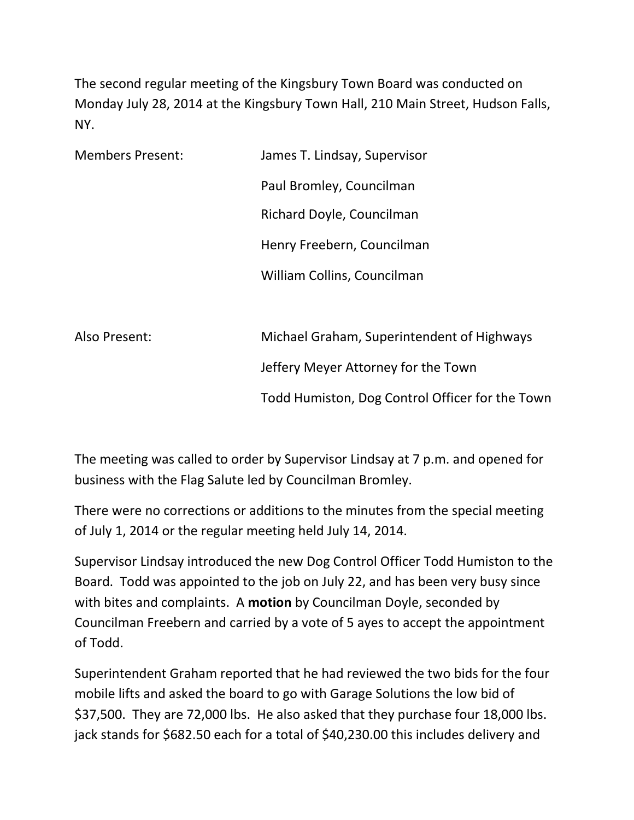The second regular meeting of the Kingsbury Town Board was conducted on Monday July 28, 2014 at the Kingsbury Town Hall, 210 Main Street, Hudson Falls, NY.

| <b>Members Present:</b> | James T. Lindsay, Supervisor                    |
|-------------------------|-------------------------------------------------|
|                         | Paul Bromley, Councilman                        |
|                         | Richard Doyle, Councilman                       |
|                         | Henry Freebern, Councilman                      |
|                         | William Collins, Councilman                     |
|                         |                                                 |
| Also Present:           | Michael Graham, Superintendent of Highways      |
|                         | Jeffery Meyer Attorney for the Town             |
|                         | Todd Humiston, Dog Control Officer for the Town |

The meeting was called to order by Supervisor Lindsay at 7 p.m. and opened for business with the Flag Salute led by Councilman Bromley.

There were no corrections or additions to the minutes from the special meeting of July 1, 2014 or the regular meeting held July 14, 2014.

Supervisor Lindsay introduced the new Dog Control Officer Todd Humiston to the Board. Todd was appointed to the job on July 22, and has been very busy since with bites and complaints. A motion by Councilman Doyle, seconded by Councilman Freebern and carried by a vote of 5 ayes to accept the appointment of Todd.

Superintendent Graham reported that he had reviewed the two bids for the four mobile lifts and asked the board to go with Garage Solutions the low bid of \$37,500. They are 72,000 lbs. He also asked that they purchase four 18,000 lbs. jack stands for \$682.50 each for a total of \$40,230.00 this includes delivery and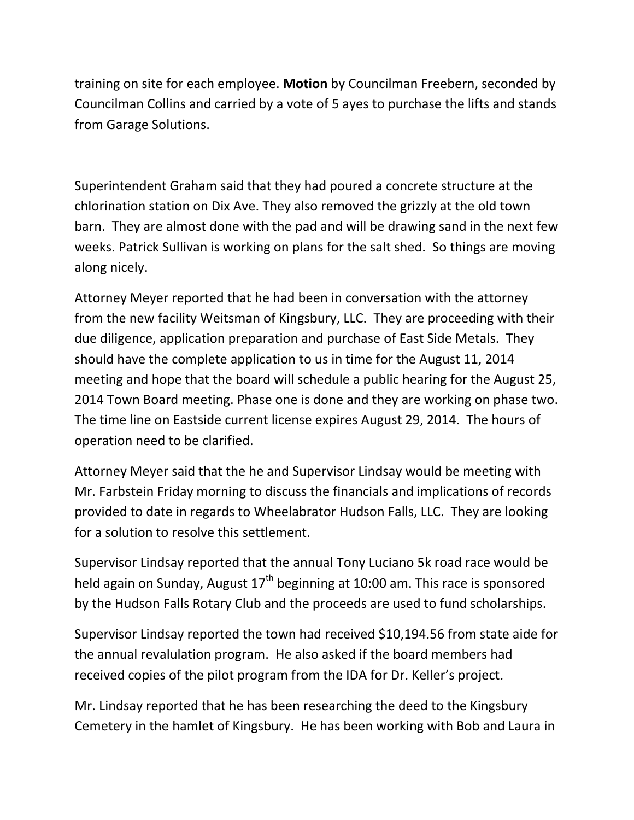training on site for each employee. Motion by Councilman Freebern, seconded by Councilman Collins and carried by a vote of 5 ayes to purchase the lifts and stands from Garage Solutions.

Superintendent Graham said that they had poured a concrete structure at the chlorination station on Dix Ave. They also removed the grizzly at the old town barn. They are almost done with the pad and will be drawing sand in the next few weeks. Patrick Sullivan is working on plans for the salt shed. So things are moving along nicely.

Attorney Meyer reported that he had been in conversation with the attorney from the new facility Weitsman of Kingsbury, LLC. They are proceeding with their due diligence, application preparation and purchase of East Side Metals. They should have the complete application to us in time for the August 11, 2014 meeting and hope that the board will schedule a public hearing for the August 25, 2014 Town Board meeting. Phase one is done and they are working on phase two. The time line on Eastside current license expires August 29, 2014. The hours of operation need to be clarified.

Attorney Meyer said that the he and Supervisor Lindsay would be meeting with Mr. Farbstein Friday morning to discuss the financials and implications of records provided to date in regards to Wheelabrator Hudson Falls, LLC. They are looking for a solution to resolve this settlement.

Supervisor Lindsay reported that the annual Tony Luciano 5k road race would be held again on Sunday, August  $17<sup>th</sup>$  beginning at 10:00 am. This race is sponsored by the Hudson Falls Rotary Club and the proceeds are used to fund scholarships.

Supervisor Lindsay reported the town had received \$10,194.56 from state aide for the annual revalulation program. He also asked if the board members had received copies of the pilot program from the IDA for Dr. Keller's project.

Mr. Lindsay reported that he has been researching the deed to the Kingsbury Cemetery in the hamlet of Kingsbury. He has been working with Bob and Laura in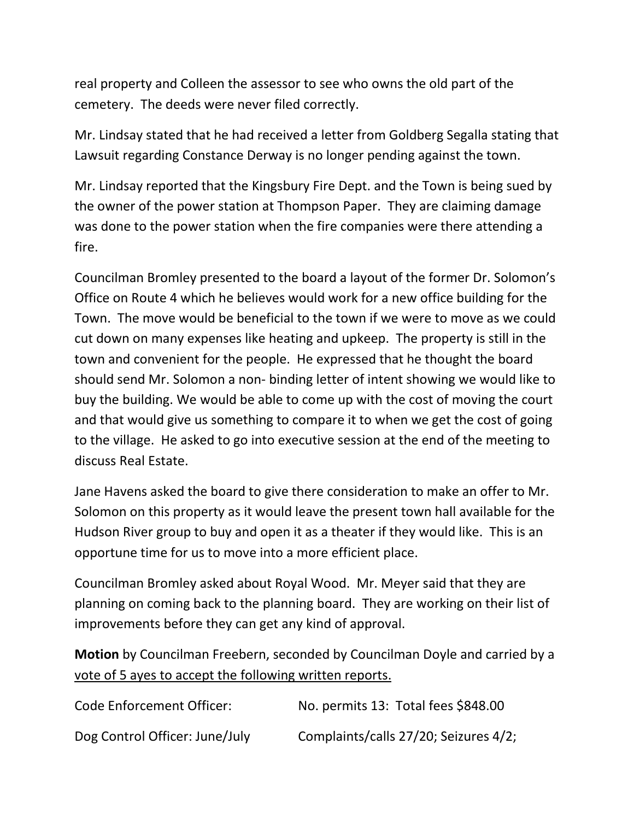real property and Colleen the assessor to see who owns the old part of the cemetery. The deeds were never filed correctly.

Mr. Lindsay stated that he had received a letter from Goldberg Segalla stating that Lawsuit regarding Constance Derway is no longer pending against the town.

Mr. Lindsay reported that the Kingsbury Fire Dept. and the Town is being sued by the owner of the power station at Thompson Paper. They are claiming damage was done to the power station when the fire companies were there attending a fire.

Councilman Bromley presented to the board a layout of the former Dr. Solomon's Office on Route 4 which he believes would work for a new office building for the Town. The move would be beneficial to the town if we were to move as we could cut down on many expenses like heating and upkeep. The property is still in the town and convenient for the people. He expressed that he thought the board should send Mr. Solomon a non- binding letter of intent showing we would like to buy the building. We would be able to come up with the cost of moving the court and that would give us something to compare it to when we get the cost of going to the village. He asked to go into executive session at the end of the meeting to discuss Real Estate.

Jane Havens asked the board to give there consideration to make an offer to Mr. Solomon on this property as it would leave the present town hall available for the Hudson River group to buy and open it as a theater if they would like. This is an opportune time for us to move into a more efficient place.

Councilman Bromley asked about Royal Wood. Mr. Meyer said that they are planning on coming back to the planning board. They are working on their list of improvements before they can get any kind of approval.

Motion by Councilman Freebern, seconded by Councilman Doyle and carried by a vote of 5 ayes to accept the following written reports.

| Code Enforcement Officer:      | No. permits 13: Total fees \$848.00   |
|--------------------------------|---------------------------------------|
| Dog Control Officer: June/July | Complaints/calls 27/20; Seizures 4/2; |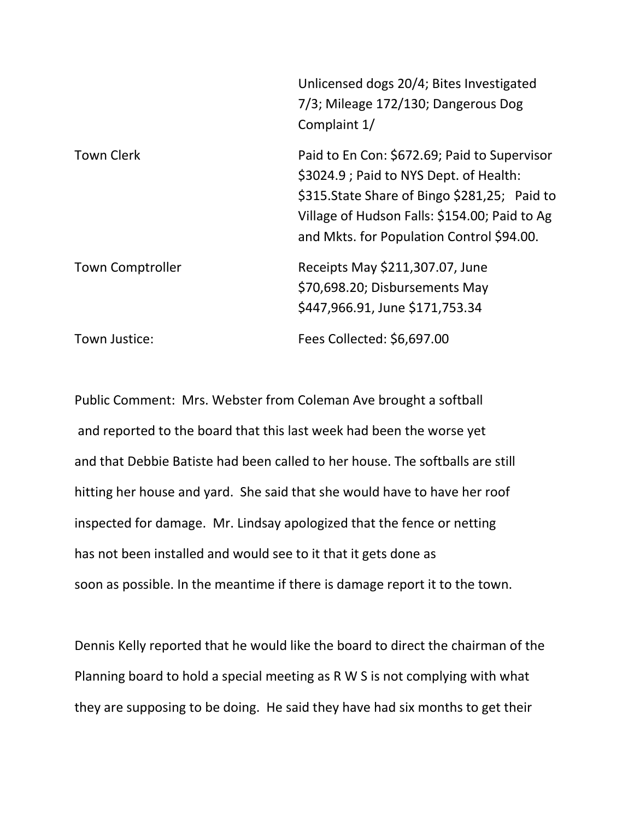|                         | Unlicensed dogs 20/4; Bites Investigated<br>7/3; Mileage 172/130; Dangerous Dog<br>Complaint 1/                                                                                                                                         |
|-------------------------|-----------------------------------------------------------------------------------------------------------------------------------------------------------------------------------------------------------------------------------------|
| <b>Town Clerk</b>       | Paid to En Con: \$672.69; Paid to Supervisor<br>\$3024.9 ; Paid to NYS Dept. of Health:<br>\$315. State Share of Bingo \$281, 25; Paid to<br>Village of Hudson Falls: \$154.00; Paid to Ag<br>and Mkts. for Population Control \$94.00. |
| <b>Town Comptroller</b> | Receipts May \$211,307.07, June<br>\$70,698.20; Disbursements May<br>\$447,966.91, June \$171,753.34                                                                                                                                    |
| Town Justice:           | Fees Collected: \$6,697.00                                                                                                                                                                                                              |

Public Comment: Mrs. Webster from Coleman Ave brought a softball and reported to the board that this last week had been the worse yet and that Debbie Batiste had been called to her house. The softballs are still hitting her house and yard. She said that she would have to have her roof inspected for damage. Mr. Lindsay apologized that the fence or netting has not been installed and would see to it that it gets done as soon as possible. In the meantime if there is damage report it to the town.

Dennis Kelly reported that he would like the board to direct the chairman of the Planning board to hold a special meeting as R W S is not complying with what they are supposing to be doing. He said they have had six months to get their